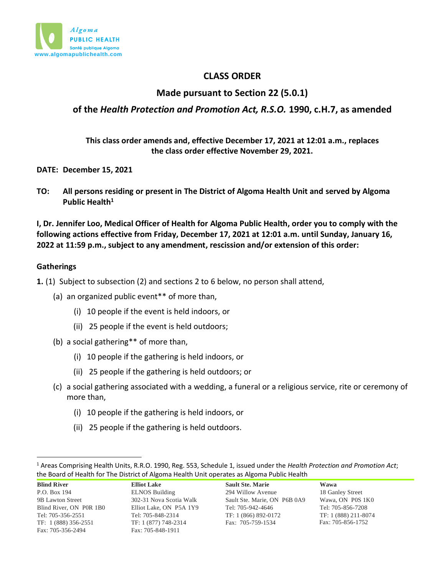

# **CLASS ORDER**

# **Made pursuant to Section 22 (5.0.1)**

# **of the** *Health Protection and Promotion Act, R.S.O.* **1990, c.H.7, as amended**

**This class order amends and, effective December 17, 2021 at 12:01 a.m., replaces the class order effective November 29, 2021.**

**DATE: December 15, 2021**

**TO: All persons residing or present in The District of Algoma Health Unit and served by Algoma Public Health<sup>1</sup>**

**I, Dr. Jennifer Loo, Medical Officer of Health for Algoma Public Health, order you to comply with the following actions effective from Friday, December 17, 2021 at 12:01 a.m. until Sunday, January 16, 2022 at 11:59 p.m., subject to any amendment, rescission and/or extension of this order:**

#### **Gatherings**

**1.** (1) Subject to subsection (2) and sections 2 to 6 below, no person shall attend,

(a) an organized public event\*\* of more than,

- (i) 10 people if the event is held indoors, or
- (ii) 25 people if the event is held outdoors;
- (b) a social gathering\*\* of more than,
	- (i) 10 people if the gathering is held indoors, or
	- (ii) 25 people if the gathering is held outdoors; or
- (c) a social gathering associated with a wedding, a funeral or a religious service, rite or ceremony of more than,
	- (i) 10 people if the gathering is held indoors, or
	- (ii) 25 people if the gathering is held outdoors.

<sup>1</sup> Areas Comprising Health Units, R.R.O. 1990, Reg. 553, Schedule 1, issued under the *Health Protection and Promotion Act*; the Board of Health for The District of Algoma Health Unit operates as Algoma Public Health

| <u>the model of the distribution of the model of the distribution of the second distribution that is a second that is a second that is a second that is a second that is a second that is a second that is a second that is a se</u> |                         |                              |                      |  |
|--------------------------------------------------------------------------------------------------------------------------------------------------------------------------------------------------------------------------------------|-------------------------|------------------------------|----------------------|--|
| <b>Blind River</b>                                                                                                                                                                                                                   | <b>Elliot Lake</b>      | <b>Sault Ste. Marie</b>      | Wawa                 |  |
| P.O. Box 194                                                                                                                                                                                                                         | <b>ELNOS Building</b>   | 294 Willow Avenue            | 18 Ganley Street     |  |
| 9B Lawton Street                                                                                                                                                                                                                     | 302-31 Nova Scotia Walk | Sault Ste. Marie, ON P6B 0A9 | Wawa, ON P0S 1K0     |  |
| Blind River, ON P0R 1B0                                                                                                                                                                                                              | Elliot Lake, ON P5A 1Y9 | Tel: 705-942-4646            | Tel: 705-856-7208    |  |
| Tel: 705-356-2551                                                                                                                                                                                                                    | Tel: 705-848-2314       | TF: 1 (866) 892-0172         | TF: 1 (888) 211-8074 |  |
| TF: 1 (888) 356-2551                                                                                                                                                                                                                 | TF: 1 (877) 748-2314    | Fax: 705-759-1534            | Fax: 705-856-1752    |  |
| Fax: 705-356-2494                                                                                                                                                                                                                    | Fax: 705-848-1911       |                              |                      |  |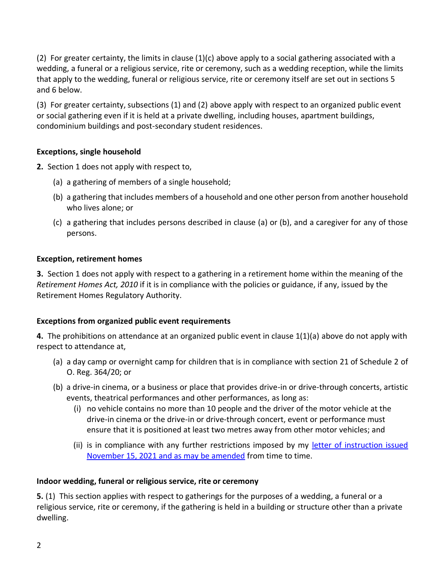(2) For greater certainty, the limits in clause (1)(c) above apply to a social gathering associated with a wedding, a funeral or a religious service, rite or ceremony, such as a wedding reception, while the limits that apply to the wedding, funeral or religious service, rite or ceremony itself are set out in sections 5 and 6 below.

(3) For greater certainty, subsections (1) and (2) above apply with respect to an organized public event or social gathering even if it is held at a private dwelling, including houses, apartment buildings, condominium buildings and post-secondary student residences.

### **Exceptions, single household**

**2.** Section 1 does not apply with respect to,

- (a) a gathering of members of a single household;
- (b) a gathering that includes members of a household and one other person from another household who lives alone; or
- (c) a gathering that includes persons described in clause (a) or (b), and a caregiver for any of those persons.

### **Exception, retirement homes**

**3.** Section 1 does not apply with respect to a gathering in a retirement home within the meaning of the *Retirement Homes Act, 2010* if it is in compliance with the policies or guidance, if any, issued by the Retirement Homes Regulatory Authority.

## **Exceptions from organized public event requirements**

**4.** The prohibitions on attendance at an organized public event in clause 1(1)(a) above do not apply with respect to attendance at,

- (a) a day camp or overnight camp for children that is in compliance with section 21 of Schedule 2 of O. Reg. 364/20; or
- (b) a drive-in cinema, or a business or place that provides drive-in or drive-through concerts, artistic events, theatrical performances and other performances, as long as:
	- (i) no vehicle contains no more than 10 people and the driver of the motor vehicle at the drive-in cinema or the drive-in or drive-through concert, event or performance must ensure that it is positioned at least two metres away from other motor vehicles; and
	- (ii) is in compliance with any further restrictions imposed by my [letter of instruction issued](https://www.algomapublichealth.com/disease-and-illness/infectious-diseases/novel-coronavirus/instructions-and-section-22-order-from-algomas-medical-officer-of-health/) [November 15, 2021 and as may be amended](https://www.algomapublichealth.com/disease-and-illness/infectious-diseases/novel-coronavirus/instructions-and-section-22-order-from-algomas-medical-officer-of-health/) from time to time.

## **Indoor wedding, funeral or religious service, rite or ceremony**

**5.** (1) This section applies with respect to gatherings for the purposes of a wedding, a funeral or a religious service, rite or ceremony, if the gathering is held in a building or structure other than a private dwelling.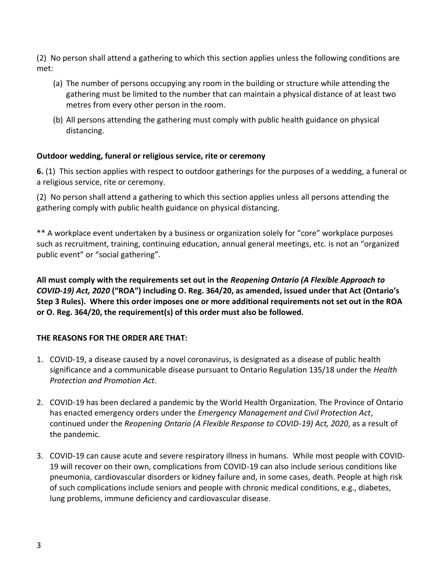(2) No person shall attend a gathering to which this section applies unless the following conditions are met:

- (a) The number of persons occupying any room in the building or structure while attending the gathering must be limited to the number that can maintain a physical distance of at least two metres from every other person in the room.
- (b) All persons attending the gathering must comply with public health guidance on physical distancing.

## **Outdoor wedding, funeral or religious service, rite or ceremony**

**6.** (1) This section applies with respect to outdoor gatherings for the purposes of a wedding, a funeral or a religious service, rite or ceremony.

(2) No person shall attend a gathering to which this section applies unless all persons attending the gathering comply with public health guidance on physical distancing.

\*\* A workplace event undertaken by a business or organization solely for "core" workplace purposes such as recruitment, training, continuing education, annual general meetings, etc. is not an "organized public event" or "social gathering".

**All must comply with the requirements set out in the** *Reopening Ontario (A Flexible Approach to COVID-19) Act, 2020* **("ROA") including O. Reg. 364/20, as amended, issued under that Act (Ontario's Step 3 Rules). Where this order imposes one or more additional requirements not set out in the ROA or O. Reg. 364/20, the requirement(s) of this order must also be followed.**

### **THE REASONS FOR THE ORDER ARE THAT:**

- 1. COVID-19, a disease caused by a novel coronavirus, is designated as a disease of public health significance and a communicable disease pursuant to Ontario Regulation 135/18 under the *Health Protection and Promotion Act*.
- 2. COVID-19 has been declared a pandemic by the World Health Organization. The Province of Ontario has enacted emergency orders under the *Emergency Management and Civil Protection Act*, continued under the *Reopening Ontario (A Flexible Response to COVID-19) Act, 2020*, as a result of the pandemic.
- 3. COVID-19 can cause acute and severe respiratory illness in humans. While most people with COVID-19 will recover on their own, complications from COVID-19 can also include serious conditions like pneumonia, cardiovascular disorders or kidney failure and, in some cases, death. People at high risk of such complications include seniors and people with chronic medical conditions, e.g., diabetes, lung problems, immune deficiency and cardiovascular disease.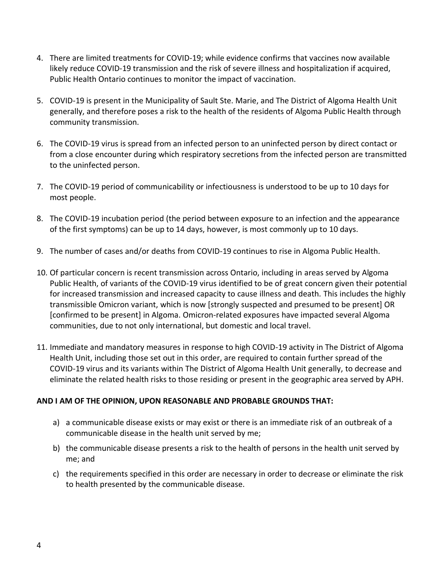- 4. There are limited treatments for COVID-19; while evidence confirms that vaccines now available likely reduce COVID-19 transmission and the risk of severe illness and hospitalization if acquired, Public Health Ontario continues to monitor the impact of vaccination.
- 5. COVID-19 is present in the Municipality of Sault Ste. Marie, and The District of Algoma Health Unit generally, and therefore poses a risk to the health of the residents of Algoma Public Health through community transmission.
- 6. The COVID-19 virus is spread from an infected person to an uninfected person by direct contact or from a close encounter during which respiratory secretions from the infected person are transmitted to the uninfected person.
- 7. The COVID-19 period of communicability or infectiousness is understood to be up to 10 days for most people.
- 8. The COVID-19 incubation period (the period between exposure to an infection and the appearance of the first symptoms) can be up to 14 days, however, is most commonly up to 10 days.
- 9. The number of cases and/or deaths from COVID-19 continues to rise in Algoma Public Health.
- 10. Of particular concern is recent transmission across Ontario, including in areas served by Algoma Public Health, of variants of the COVID-19 virus identified to be of great concern given their potential for increased transmission and increased capacity to cause illness and death. This includes the highly transmissible Omicron variant, which is now [strongly suspected and presumed to be present] OR [confirmed to be present] in Algoma. Omicron-related exposures have impacted several Algoma communities, due to not only international, but domestic and local travel.
- 11. Immediate and mandatory measures in response to high COVID-19 activity in The District of Algoma Health Unit, including those set out in this order, are required to contain further spread of the COVID-19 virus and its variants within The District of Algoma Health Unit generally, to decrease and eliminate the related health risks to those residing or present in the geographic area served by APH.

#### **AND I AM OF THE OPINION, UPON REASONABLE AND PROBABLE GROUNDS THAT:**

- a) a communicable disease exists or may exist or there is an immediate risk of an outbreak of a communicable disease in the health unit served by me;
- b) the communicable disease presents a risk to the health of persons in the health unit served by me; and
- c) the requirements specified in this order are necessary in order to decrease or eliminate the risk to health presented by the communicable disease.